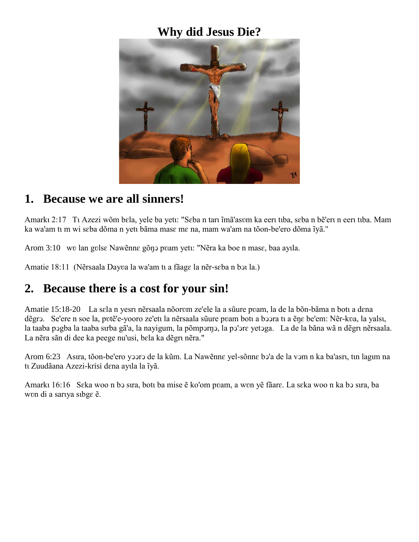### **Why did Jesus Die?**



#### **1. Because we are all sinners!**

Amarkı 2:17 Tı Azezi wõm bɛla, yele ba yetı: "Sɛba n tarı imã'asʊm ka eerı tıba, sɛba n bẽ'erı n eerı tıba. Mam ka wa'am tī m wi sɛba dõma n yetī bāma masɛ mɛ na, mam wa'am na tõon-be'ero dõma ĩyã."

Arom 3:10 wv lan gvlse Nawẽnne gõn pvam yetu: "Nẽra ka boe n mase, baa ayıla.

Amatie 18:11 (Nẽrsaala Dayva la wa'am tu a fãage la nẽr-sɛba n bɔu la.)

# **2. Because there is a cost for your sin!**

Amatie 15:18-20 La sɛla n yesru nẽrsaala nõorvm ze'ele la a sũure pvam, la de la bõn-bãma n botu a dɛna dẽgrɔ. Se'ere n soe la, pʊtẽ'e-yooro ze'etu la nẽrsaala sũure pʊam botu a bɔɔra tu a ẽnɛ be'em: Nẽr-kʊa, la yalsu, la taaba pɔgba la taaba sɪrba gã'a, la nayigum, la põmpɔrŋɔ, la pɔ'ɔrɛ yetɔga. La de la bãna wã n dẽgru nẽrsaala. La nẽra sãn di dee ka peege nu'usi, bala ka dẽgru nẽra."

Arom 6:23 Asıra, tõon-be'ero yɔɔrɔ de la kũm. La Nawẽnnɛ yel-sõnnɛ bɔ'a de la vɔm n ka ba'asrı, tın lagım na tı Zuudãana Azezi-krisi dena ayıla la iyã.

Amarkı 16:16 Sɛka woo n bɔ sıra, botı ba mise ẽ ko'om pvam, a wvn yẽ fãarɛ. La sɛka woo n ka bɔ sıra, ba won di a sarıya sıbge  $\tilde{e}$ .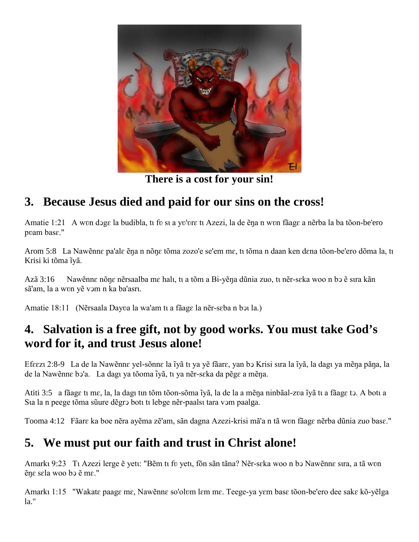

**There is a cost for your sin!**

# **3. Because Jesus died and paid for our sins on the cross!**

Amatie 1:21 A wʊn dɔgɛ la budibla, tɪ fv sɪ a yv'vrɛ tɪ Azezi, la de ẽŋa n wʊn fãagɛ a nẽrba la ba tõon-be'ero pvam base."

Arom 5:8 La Nawẽnnɛ pa'alɛ ẽŋa n nõnɛ tõma zozo'e se'em mɛ, tī tõma n daan ken dɛna tõon-be'ero dõma la, tī Krisi ki tõma ivã.

Azã 3:16 Nawẽnnɛ nõnɛ nẽrsaalba mɛ halı, tı a tõm a Bi-yẽna dũnia zuo, tı nẽr-sɛka woo n bɔ ẽ sıra kãn sã'am, la a wvn yẽ vɔm n ka ba'asru.

Amatie 18:11 (Nẽrsaala Dayva la wa'am tī a fãage la nẽr-seba n bɔī la.)

# **4. Salvation is a free gift, not by good works. You must take God's word for it, and trust Jesus alone!**

Efɛɛzι 2:8-9 La de la Nawẽnnɛ yel-sõnnɛ la ĩyã tı ya yẽ fãarɛ, yan bɔ Krisi sıra la ĩyã, la dagı ya mẽŋa pãŋa, la de la Nawẽnnɛ bɔ'a. La dagı ya tõoma ĩyã, tı ya nẽr-sɛka da pẽgɛ a mẽŋa.

Atiti 3:5 a fãagɛ tt mɛ, la, la dagt tɪn tõm tõon-sõma ĩyã, la de la a mẽŋa ninbãal-zva ĩyã tt a fãagɛ tɔ. A bott a Sua la n peege tõma sũure dẽgrɔ bott tt lebge nẽr-paalst tara vɔm paalga.

Tooma 4:12 Fãarɛ ka boe nẽra ayẽma zẽ'am, sãn dagna Azezi-krisi mã'a n tã wʋn fãagɛ nẽrba dũnia zuo basɛ."

# **5. We must put our faith and trust in Christ alone!**

Amarkı 9:23 Tı Azezi lerge ẽ yetı: "Bẽm tı fv yetı, fõn sãn tãna? Nẽr-sɛka woo n bɔ Nawẽnnɛ sıra, a tã wvn ẽŋɛ sɛla woo bↄ ẽ mɛ."

Amarkı 1:15 "Wakate paage me, Nawẽnne so'olvm lem me. Teege-ya yem base tõon-be'ero dee sake kõ-yẽlga la."